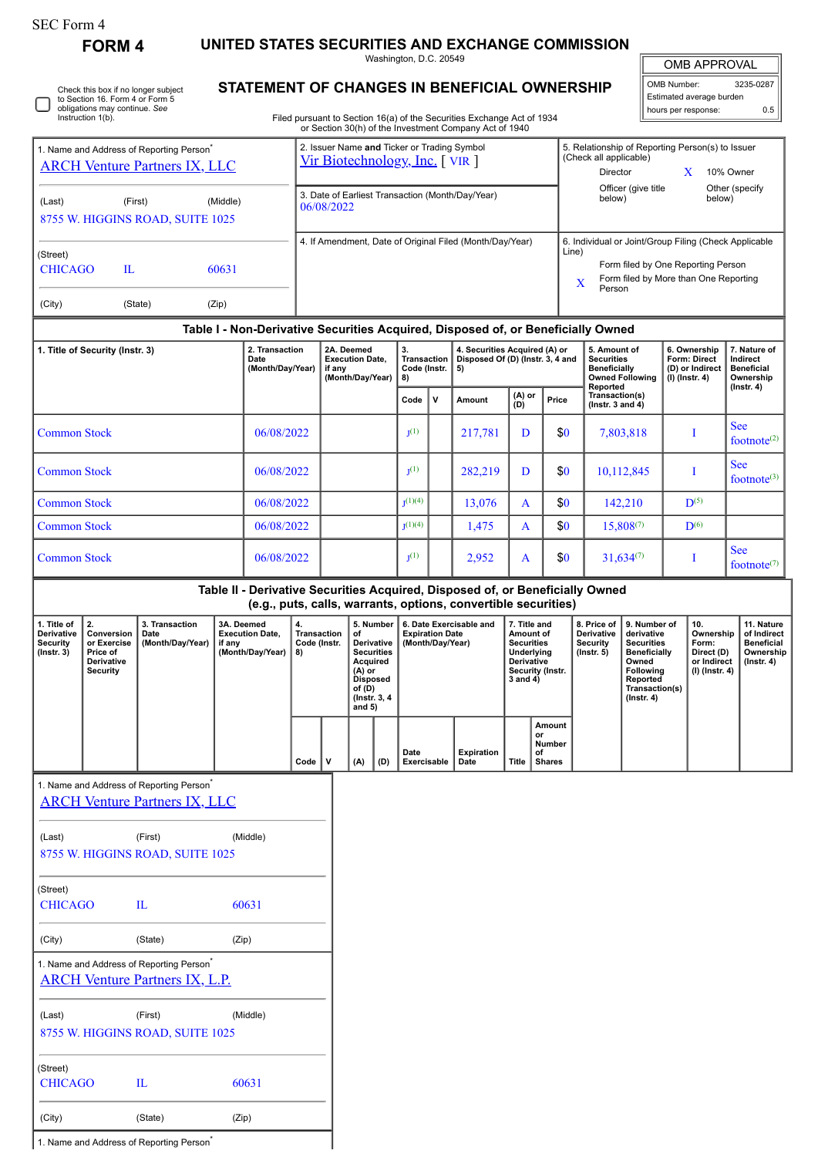| SEC Form 4 |
|------------|
|------------|

**FORM 4 UNITED STATES SECURITIES AND EXCHANGE COMMISSION**

Washington, D.C. 20549 **STATEMENT OF CHANGES IN BENEFICIAL OWNERSHIP**

| <b>OMB APPROVAL</b>      |           |  |  |  |  |  |  |  |  |
|--------------------------|-----------|--|--|--|--|--|--|--|--|
| OMB Number:              | 3235-0287 |  |  |  |  |  |  |  |  |
| Estimated average burden |           |  |  |  |  |  |  |  |  |

 $\sqrt{2}$ 

|                                                                                              | Check this box if no longer subject<br>to Section 16. Form 4 or Form 5<br>obligations may continue. See<br>Instruction 1(b). |                                                                                               |                      |                                                                    |                                                |                                                                                                                                        |                                                                     |                                                               |                                                                         |                                                                       | STATEMENT OF GRANGES IN BENEFIGIAL OWNERSHIP<br>Filed pursuant to Section 16(a) of the Securities Exchange Act of 1934                          |                                                                                                            |                                                                                         |                                                                                                      |                                         |                                                                                                                                                |                                                                          | Estimated average burden<br>hours per response: | 0.5                                                                             |  |
|----------------------------------------------------------------------------------------------|------------------------------------------------------------------------------------------------------------------------------|-----------------------------------------------------------------------------------------------|----------------------|--------------------------------------------------------------------|------------------------------------------------|----------------------------------------------------------------------------------------------------------------------------------------|---------------------------------------------------------------------|---------------------------------------------------------------|-------------------------------------------------------------------------|-----------------------------------------------------------------------|-------------------------------------------------------------------------------------------------------------------------------------------------|------------------------------------------------------------------------------------------------------------|-----------------------------------------------------------------------------------------|------------------------------------------------------------------------------------------------------|-----------------------------------------|------------------------------------------------------------------------------------------------------------------------------------------------|--------------------------------------------------------------------------|-------------------------------------------------|---------------------------------------------------------------------------------|--|
| 1. Name and Address of Reporting Person <sup>*</sup><br><b>ARCH Venture Partners IX, LLC</b> |                                                                                                                              |                                                                                               |                      |                                                                    |                                                | or Section 30(h) of the Investment Company Act of 1940<br>2. Issuer Name and Ticker or Trading Symbol<br>Vir Biotechnology, Inc. [VIR] |                                                                     |                                                               |                                                                         |                                                                       |                                                                                                                                                 |                                                                                                            | 5. Relationship of Reporting Person(s) to Issuer<br>(Check all applicable)              |                                                                                                      |                                         |                                                                                                                                                |                                                                          |                                                 |                                                                                 |  |
| (Last)<br>(First)<br>(Middle)<br>8755 W. HIGGINS ROAD, SUITE 1025                            |                                                                                                                              |                                                                                               |                      |                                                                    |                                                | 3. Date of Earliest Transaction (Month/Day/Year)<br>06/08/2022                                                                         |                                                                     |                                                               |                                                                         |                                                                       |                                                                                                                                                 |                                                                                                            | Director<br>X<br>10% Owner<br>Officer (give title<br>Other (specify<br>below)<br>below) |                                                                                                      |                                         |                                                                                                                                                |                                                                          |                                                 |                                                                                 |  |
| (Street)<br><b>CHICAGO</b><br>$\mathbf{L}$<br>60631                                          |                                                                                                                              |                                                                                               |                      |                                                                    |                                                | 4. If Amendment, Date of Original Filed (Month/Day/Year)                                                                               |                                                                     |                                                               |                                                                         |                                                                       |                                                                                                                                                 |                                                                                                            |                                                                                         | 6. Individual or Joint/Group Filing (Check Applicable<br>Line)<br>Form filed by One Reporting Person |                                         |                                                                                                                                                |                                                                          |                                                 |                                                                                 |  |
| (Zip)<br>(City)<br>(State)                                                                   |                                                                                                                              |                                                                                               |                      |                                                                    |                                                | Form filed by More than One Reporting<br>X<br>Person                                                                                   |                                                                     |                                                               |                                                                         |                                                                       |                                                                                                                                                 |                                                                                                            |                                                                                         |                                                                                                      |                                         |                                                                                                                                                |                                                                          |                                                 |                                                                                 |  |
| Table I - Non-Derivative Securities Acquired, Disposed of, or Beneficially Owned             |                                                                                                                              |                                                                                               |                      |                                                                    |                                                |                                                                                                                                        |                                                                     |                                                               |                                                                         |                                                                       |                                                                                                                                                 |                                                                                                            |                                                                                         |                                                                                                      |                                         |                                                                                                                                                |                                                                          |                                                 |                                                                                 |  |
| 2. Transaction<br>1. Title of Security (Instr. 3)<br>Date<br>(Month/Day/Year)                |                                                                                                                              |                                                                                               |                      | 2A. Deemed<br><b>Execution Date,</b><br>if any<br>(Month/Day/Year) |                                                |                                                                                                                                        | 3.<br>Transaction<br>Code (Instr.<br>8)                             |                                                               | 4. Securities Acquired (A) or<br>Disposed Of (D) (Instr. 3, 4 and<br>5) |                                                                       | 5. Amount of<br><b>Securities</b><br><b>Beneficially</b><br><b>Owned Following</b><br>Reported                                                  |                                                                                                            |                                                                                         | 6. Ownership<br><b>Form: Direct</b><br>(D) or Indirect<br>$(I)$ (Instr. 4)                           |                                         | 7. Nature of<br>Indirect<br><b>Beneficial</b><br>Ownership<br>$($ Instr. 4 $)$                                                                 |                                                                          |                                                 |                                                                                 |  |
|                                                                                              |                                                                                                                              |                                                                                               |                      |                                                                    |                                                |                                                                                                                                        |                                                                     |                                                               |                                                                         | v                                                                     | Amount                                                                                                                                          | (A) or<br>(D)                                                                                              | Price                                                                                   |                                                                                                      | Transaction(s)<br>(lnstr. $3$ and $4$ ) |                                                                                                                                                |                                                                          |                                                 |                                                                                 |  |
| <b>Common Stock</b>                                                                          |                                                                                                                              |                                                                                               |                      |                                                                    | 06/08/2022                                     |                                                                                                                                        |                                                                     |                                                               | I <sub>1</sub> (1)                                                      |                                                                       | 217,781                                                                                                                                         | D                                                                                                          |                                                                                         | \$0                                                                                                  | 7,803,818                               |                                                                                                                                                | I                                                                        |                                                 | <b>See</b><br>footnote $(2)$                                                    |  |
| <b>Common Stock</b>                                                                          |                                                                                                                              |                                                                                               |                      |                                                                    | 06/08/2022                                     |                                                                                                                                        |                                                                     |                                                               | I <sub>1</sub> (1)                                                      |                                                                       | 282,219                                                                                                                                         | D                                                                                                          |                                                                                         | \$0                                                                                                  | 10,112,845                              |                                                                                                                                                |                                                                          | <b>See</b><br>I<br>footnote $(3)$               |                                                                                 |  |
| <b>Common Stock</b>                                                                          |                                                                                                                              |                                                                                               |                      | 06/08/2022                                                         |                                                |                                                                                                                                        |                                                                     |                                                               | $I^{(1)(4)}$                                                            |                                                                       | 13,076                                                                                                                                          | A                                                                                                          |                                                                                         | \$0                                                                                                  |                                         | 142,210                                                                                                                                        |                                                                          | $\mathbf{D}^{(5)}$                              |                                                                                 |  |
| <b>Common Stock</b>                                                                          |                                                                                                                              |                                                                                               |                      | 06/08/2022                                                         |                                                |                                                                                                                                        |                                                                     | $I^{(1)(4)}$                                                  |                                                                         | 1,475                                                                 | \$0<br>A                                                                                                                                        |                                                                                                            |                                                                                         | 15,808(7)                                                                                            |                                         | $\mathbf{D}^{(6)}$                                                                                                                             |                                                                          | <b>See</b>                                      |                                                                                 |  |
| <b>Common Stock</b>                                                                          |                                                                                                                              |                                                                                               |                      | 06/08/2022                                                         |                                                |                                                                                                                                        |                                                                     |                                                               | I <sub>1</sub> (1)                                                      |                                                                       | 2,952                                                                                                                                           | A                                                                                                          |                                                                                         | \$0                                                                                                  | $31,634^{(7)}$                          |                                                                                                                                                | I                                                                        |                                                 | footnote <sup>(7)</sup>                                                         |  |
|                                                                                              |                                                                                                                              |                                                                                               |                      |                                                                    |                                                |                                                                                                                                        |                                                                     |                                                               |                                                                         |                                                                       | Table II - Derivative Securities Acquired, Disposed of, or Beneficially Owned<br>(e.g., puts, calls, warrants, options, convertible securities) |                                                                                                            |                                                                                         |                                                                                                      |                                         |                                                                                                                                                |                                                                          |                                                 |                                                                                 |  |
| 1. Title of<br>Derivative<br><b>Security</b><br>$($ Instr. 3 $)$                             | 2.<br>Conversion<br>or Exercise<br>Price of<br>Derivative<br>Security                                                        | 3. Transaction<br>Date<br>(Month/Day/Year)                                                    | 3A. Deemed<br>if any | <b>Execution Date,</b><br>(Month/Day/Year)                         | 4.<br><b>Transaction</b><br>Code (Instr.<br>8) |                                                                                                                                        | of<br>Acauired<br>$(A)$ or<br><b>Disposed</b><br>of (D)<br>and $5)$ | 5. Number<br>Derivative<br><b>Securities</b><br>(Instr. 3, 4) |                                                                         | 6. Date Exercisable and<br><b>Expiration Date</b><br>(Month/Day/Year) |                                                                                                                                                 | 7. Title and<br>Amount of<br><b>Securities</b><br>Underlying<br>Derivative<br>Security (Instr.<br>3 and 4) |                                                                                         | 8. Price of<br><b>Derivative</b><br><b>Security</b><br>$($ Instr. $5)$                               |                                         | 9. Number of<br>derivative<br><b>Securities</b><br><b>Beneficially</b><br>Owned<br>Following<br>Reported<br>Transaction(s)<br>$($ lnstr. 4 $)$ | 10.<br>Ownership<br>Form:<br>Direct (D)<br>or Indirect<br>(I) (Instr. 4) |                                                 | 11. Nature<br>of Indirect<br><b>Beneficial</b><br>Ownership<br>$($ lnstr. 4 $)$ |  |
|                                                                                              |                                                                                                                              |                                                                                               |                      |                                                                    | Code                                           | $\mathsf{v}$                                                                                                                           | (A)                                                                 | (D)                                                           | Date<br>Exercisable                                                     |                                                                       | <b>Expiration</b><br>Date                                                                                                                       | <b>Title</b>                                                                                               | Amount<br>or<br>Number<br>of<br><b>Shares</b>                                           |                                                                                                      |                                         |                                                                                                                                                |                                                                          |                                                 |                                                                                 |  |
|                                                                                              |                                                                                                                              | 1. Name and Address of Reporting Person <sup>*</sup><br><b>ARCH Venture Partners IX, LLC</b>  |                      |                                                                    |                                                |                                                                                                                                        |                                                                     |                                                               |                                                                         |                                                                       |                                                                                                                                                 |                                                                                                            |                                                                                         |                                                                                                      |                                         |                                                                                                                                                |                                                                          |                                                 |                                                                                 |  |
| (First)<br>(Last)<br>(Middle)<br>8755 W. HIGGINS ROAD, SUITE 1025                            |                                                                                                                              |                                                                                               |                      |                                                                    |                                                |                                                                                                                                        |                                                                     |                                                               |                                                                         |                                                                       |                                                                                                                                                 |                                                                                                            |                                                                                         |                                                                                                      |                                         |                                                                                                                                                |                                                                          |                                                 |                                                                                 |  |
| (Street)<br><b>CHICAGO</b>                                                                   |                                                                                                                              | $\mathbf{I}$                                                                                  |                      | 60631                                                              |                                                |                                                                                                                                        |                                                                     |                                                               |                                                                         |                                                                       |                                                                                                                                                 |                                                                                                            |                                                                                         |                                                                                                      |                                         |                                                                                                                                                |                                                                          |                                                 |                                                                                 |  |
| (City)                                                                                       |                                                                                                                              | (State)                                                                                       | (Zip)                |                                                                    |                                                |                                                                                                                                        |                                                                     |                                                               |                                                                         |                                                                       |                                                                                                                                                 |                                                                                                            |                                                                                         |                                                                                                      |                                         |                                                                                                                                                |                                                                          |                                                 |                                                                                 |  |
|                                                                                              |                                                                                                                              | 1. Name and Address of Reporting Person <sup>*</sup><br><b>ARCH Venture Partners IX, L.P.</b> |                      |                                                                    |                                                |                                                                                                                                        |                                                                     |                                                               |                                                                         |                                                                       |                                                                                                                                                 |                                                                                                            |                                                                                         |                                                                                                      |                                         |                                                                                                                                                |                                                                          |                                                 |                                                                                 |  |
| (Last)                                                                                       |                                                                                                                              | (First)<br>8755 W. HIGGINS ROAD, SUITE 1025                                                   |                      | (Middle)                                                           |                                                |                                                                                                                                        |                                                                     |                                                               |                                                                         |                                                                       |                                                                                                                                                 |                                                                                                            |                                                                                         |                                                                                                      |                                         |                                                                                                                                                |                                                                          |                                                 |                                                                                 |  |
| (Street)                                                                                     | <b>CHICAGO</b>                                                                                                               | $\mathbf{L}$                                                                                  |                      | 60631                                                              |                                                |                                                                                                                                        |                                                                     |                                                               |                                                                         |                                                                       |                                                                                                                                                 |                                                                                                            |                                                                                         |                                                                                                      |                                         |                                                                                                                                                |                                                                          |                                                 |                                                                                 |  |

(City) (State) (Zip)

1. Name and Address of Reporting Person<sup>\*</sup>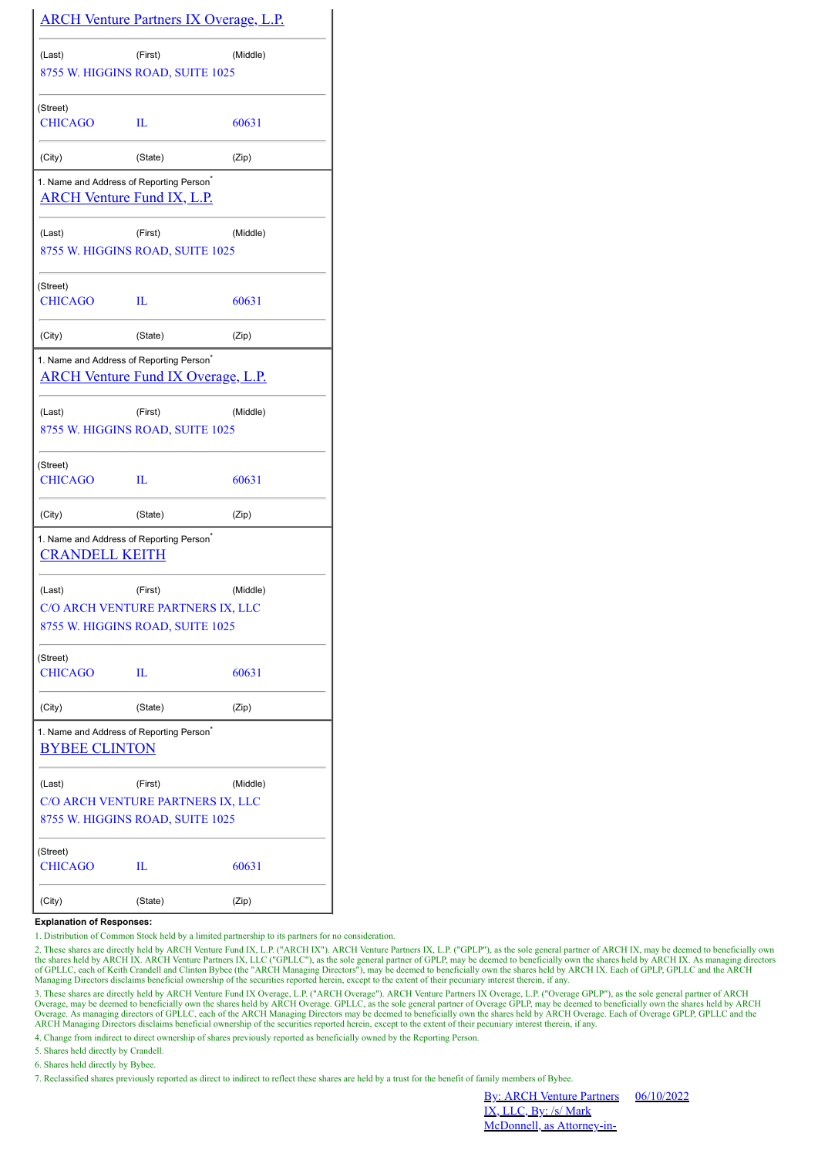|                            |                                                                                                   | <u>ARCH Venture Partners IX Overage, L.P.</u> |
|----------------------------|---------------------------------------------------------------------------------------------------|-----------------------------------------------|
| (Last)                     | (First)                                                                                           | (Middle)                                      |
|                            | 8755 W. HIGGINS ROAD, SUITE 1025                                                                  |                                               |
| (Street)                   |                                                                                                   |                                               |
| <b>CHICAGO</b>             | Ш                                                                                                 | 60631                                         |
| (City)                     | (State)                                                                                           | (Zip)                                         |
|                            | 1. Name and Address of Reporting Person <sup>®</sup><br><b>ARCH Venture Fund IX, L.P.</b>         |                                               |
| (Last)                     | (First)                                                                                           | (Middle)                                      |
|                            | 8755 W. HIGGINS ROAD, SUITE 1025                                                                  |                                               |
| (Street)<br><b>CHICAGO</b> | Ш                                                                                                 | 60631                                         |
| (City)                     | (State)                                                                                           | (Zip)                                         |
|                            | 1. Name and Address of Reporting Person <sup>®</sup><br><b>ARCH Venture Fund IX Overage, L.P.</b> |                                               |
| (Last)                     | (First)<br>8755 W. HIGGINS ROAD, SUITE 1025                                                       | (Middle)                                      |
| (Street)<br><b>CHICAGO</b> | Ш                                                                                                 | 60631                                         |
| (City)                     | (State)                                                                                           | (Zip)                                         |
| <b>CRANDELL KEITH</b>      | 1. Name and Address of Reporting Person <sup>*</sup>                                              |                                               |
| (Last)                     | (First)                                                                                           | (Middle)                                      |
|                            | C/O ARCH VENTURE PARTNERS IX, LLC                                                                 |                                               |
|                            | 8755 W. HIGGINS ROAD, SUITE 1025                                                                  |                                               |
| (Street)<br><b>CHICAGO</b> | Ш                                                                                                 | 60631                                         |
| (City)                     | (State)                                                                                           | (Zip)                                         |
| <b>BYBEE CLINTON</b>       | 1. Name and Address of Reporting Person <sup>*</sup>                                              |                                               |
| (Last)                     | (First)                                                                                           | (Middle)                                      |
|                            | C/O ARCH VENTURE PARTNERS IX, LLC<br>8755 W. HIGGINS ROAD, SUITE 1025                             |                                               |
| (Street)                   |                                                                                                   |                                               |
| <b>CHICAGO</b>             | IL                                                                                                | 60631                                         |
| (City)                     | (State)                                                                                           | (Zip)                                         |

## **Explanation of Responses:**

1. Distribution of Common Stock held by a limited partnership to its partners for no consideration.

2. These shares are directly held by ARCH Venture Fund IX, L.P. ("ARCH IX"). ARCH Venture Partners IX, L.P. ("GPLP"), as the sole general partner of ARCH IX, may be deemed to beneficially own<br>of GPLLC, each of Keith Crande

4. Change from indirect to direct ownership of shares previously reported as beneficially owned by the Reporting Person.

5. Shares held directly by Crandell.

6. Shares held directly by Bybee.

7. Reclassified shares previously reported as direct to indirect to reflect these shares are held by a trust for the benefit of family members of Bybee.

**By: ARCH Venture Partners** IX, LLC, By: /s/ Mark McDonnell, as Attorney-in-

06/10/2022

<sup>3.</sup> These shares are directly held by ARCH Venture Fund IX Overage, L.P. ("ARCH Overage"). ARCH Venture Partners IX Overage, L.P. ("Overage GPLP"), as the sole general partner of ARCH Overage, may be deemed to beneficially Overage. As managing directors of GPLLC, each of the ARCH Managing Directors may be deemed to beneficially own the shares held by ARCH Overage. Each of Overage GPLP, GPLLC and the ARCH Managing Directors disclaims beneficial ownership of the securities reported herein, except to the extent of their pecuniary interest therein, if any.